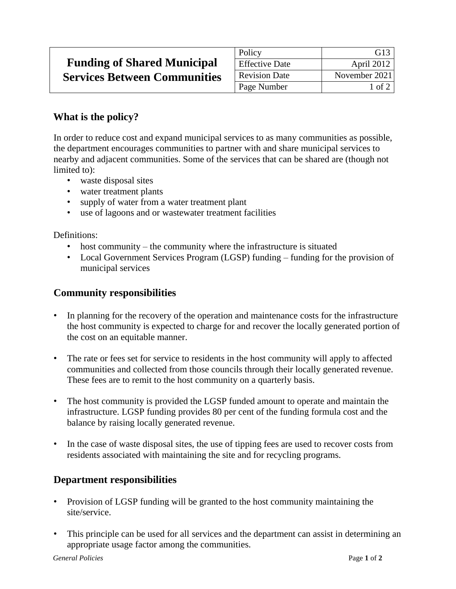## **Funding of Shared Municipal Services Between Communities**

| Policy                | G <sub>13</sub> |
|-----------------------|-----------------|
| <b>Effective Date</b> | April 2012      |
| <b>Revision Date</b>  | November 2021   |
| Page Number           | $1$ of $2$      |

## **What is the policy?**

In order to reduce cost and expand municipal services to as many communities as possible, the department encourages communities to partner with and share municipal services to nearby and adjacent communities. Some of the services that can be shared are (though not limited to):

- waste disposal sites
- water treatment plants
- supply of water from a water treatment plant
- use of lagoons and or wastewater treatment facilities

Definitions:

- host community the community where the infrastructure is situated
- Local Government Services Program (LGSP) funding funding for the provision of municipal services

## **Community responsibilities**

- In planning for the recovery of the operation and maintenance costs for the infrastructure the host community is expected to charge for and recover the locally generated portion of the cost on an equitable manner.
- The rate or fees set for service to residents in the host community will apply to affected communities and collected from those councils through their locally generated revenue. These fees are to remit to the host community on a quarterly basis.
- The host community is provided the LGSP funded amount to operate and maintain the infrastructure. LGSP funding provides 80 per cent of the funding formula cost and the balance by raising locally generated revenue.
- In the case of waste disposal sites, the use of tipping fees are used to recover costs from residents associated with maintaining the site and for recycling programs.

## **Department responsibilities**

- Provision of LGSP funding will be granted to the host community maintaining the site/service.
- This principle can be used for all services and the department can assist in determining an appropriate usage factor among the communities.